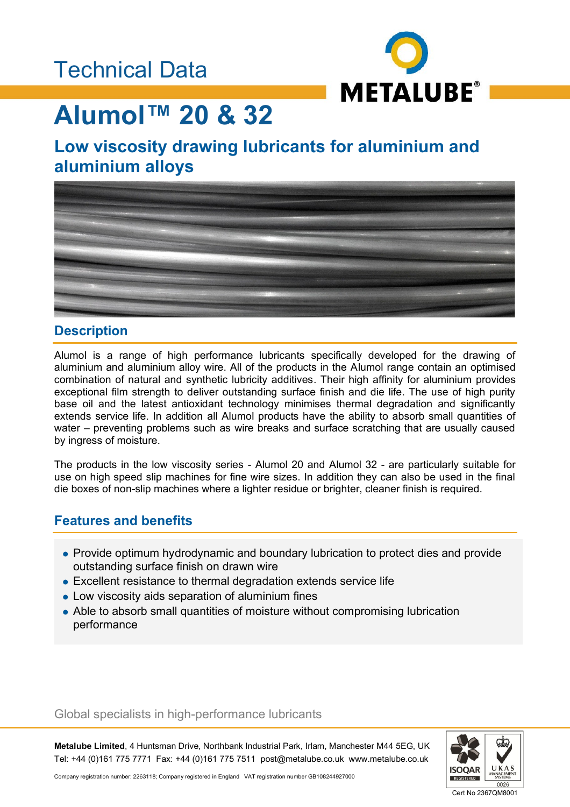

# **Alumol™ 20 & 32**

### **Low viscosity drawing lubricants for aluminium and aluminium alloys**



### **Description**

Alumol is a range of high performance lubricants specifically developed for the drawing of aluminium and aluminium alloy wire. All of the products in the Alumol range contain an optimised combination of natural and synthetic lubricity additives. Their high affinity for aluminium provides exceptional film strength to deliver outstanding surface finish and die life. The use of high purity base oil and the latest antioxidant technology minimises thermal degradation and significantly extends service life. In addition all Alumol products have the ability to absorb small quantities of water – preventing problems such as wire breaks and surface scratching that are usually caused by ingress of moisture.

The products in the low viscosity series - Alumol 20 and Alumol 32 - are particularly suitable for use on high speed slip machines for fine wire sizes. In addition they can also be used in the final die boxes of non-slip machines where a lighter residue or brighter, cleaner finish is required.

### **Features and benefits**

- Provide optimum hydrodynamic and boundary lubrication to protect dies and provide outstanding surface finish on drawn wire
- Excellent resistance to thermal degradation extends service life
- Low viscosity aids separation of aluminium fines
- Able to absorb small quantities of moisture without compromising lubrication performance

#### Global specialists in high-performance lubricants

**Metalube Limited**, 4 Huntsman Drive, Northbank Industrial Park, Irlam, Manchester M44 5EG, UK Tel: +44 (0)161 775 7771 Fax: +44 (0)161 775 7511 post@metalube.co.uk www.metalube.co.uk



Company registration number: 2263118; Company registered in England VAT registration number GB108244927000